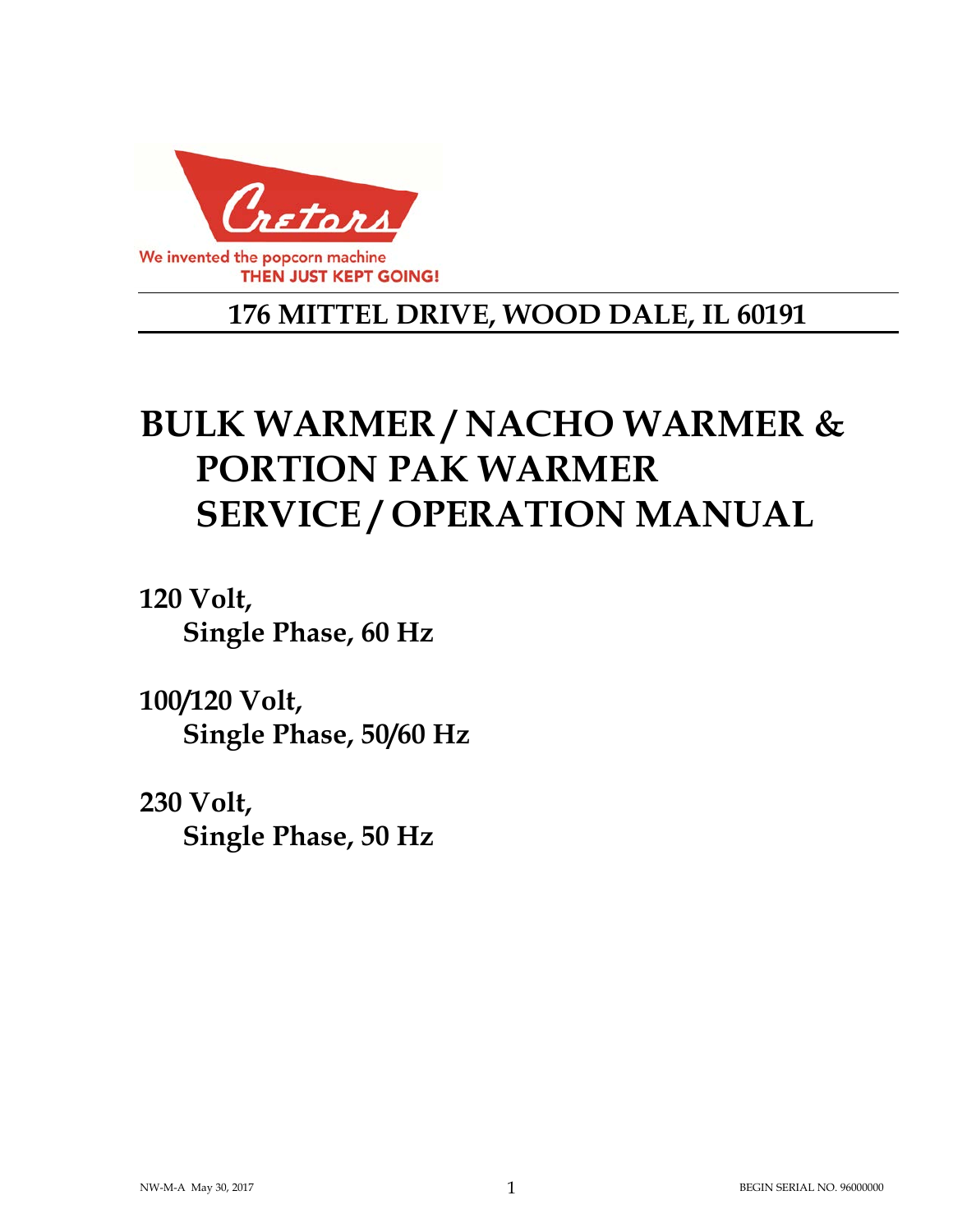

# **176 MITTEL DRIVE, WOOD DALE, IL 60191**

# **BULK WARMER / NACHO WARMER & PORTION PAK WARMER SERVICE / OPERATION MANUAL**

**120 Volt, Single Phase, 60 Hz** 

**100/120 Volt, Single Phase, 50/60 Hz** 

**230 Volt, Single Phase, 50 Hz**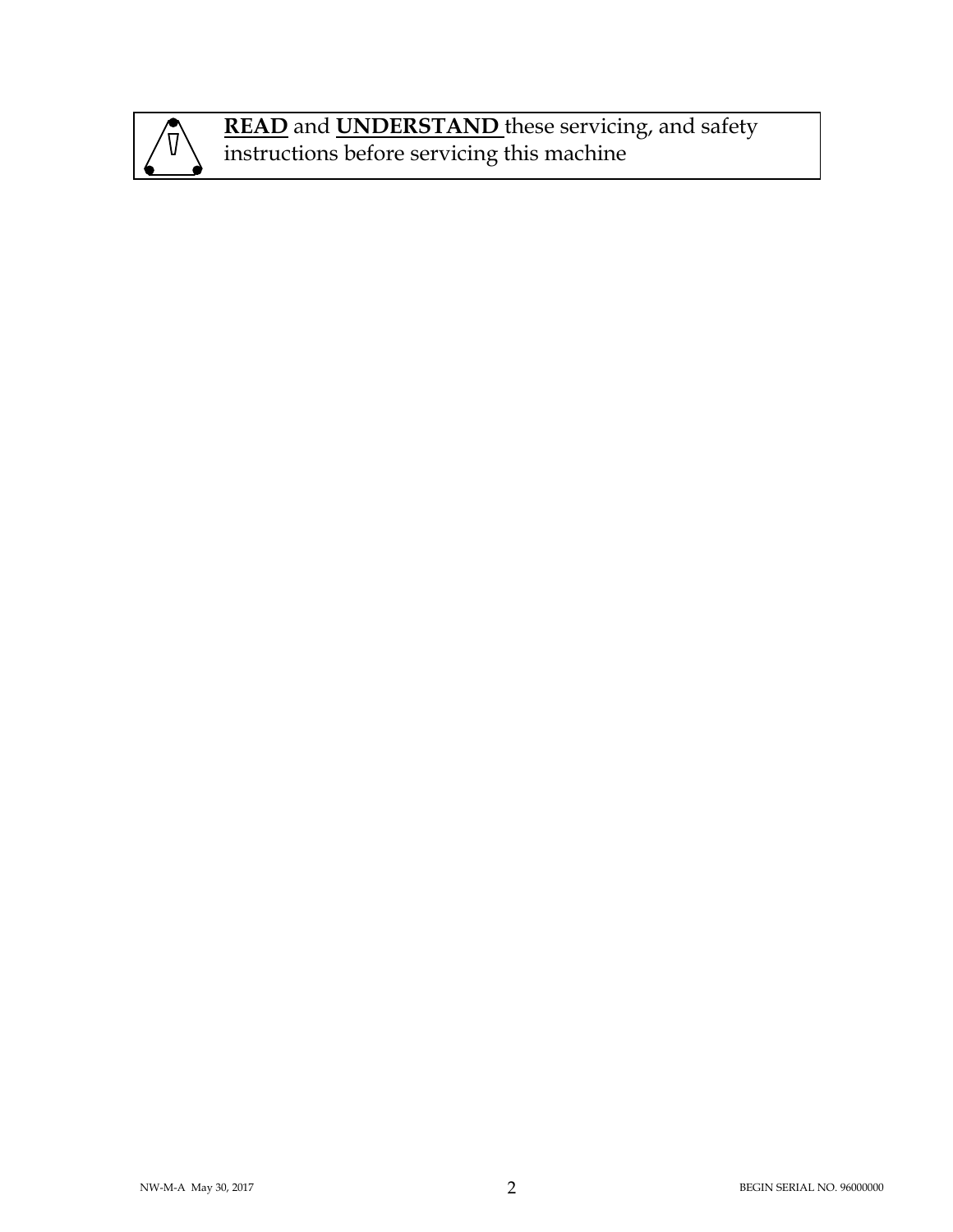

**READ** and **UNDERSTAND** these servicing, and safety instructions before servicing this machine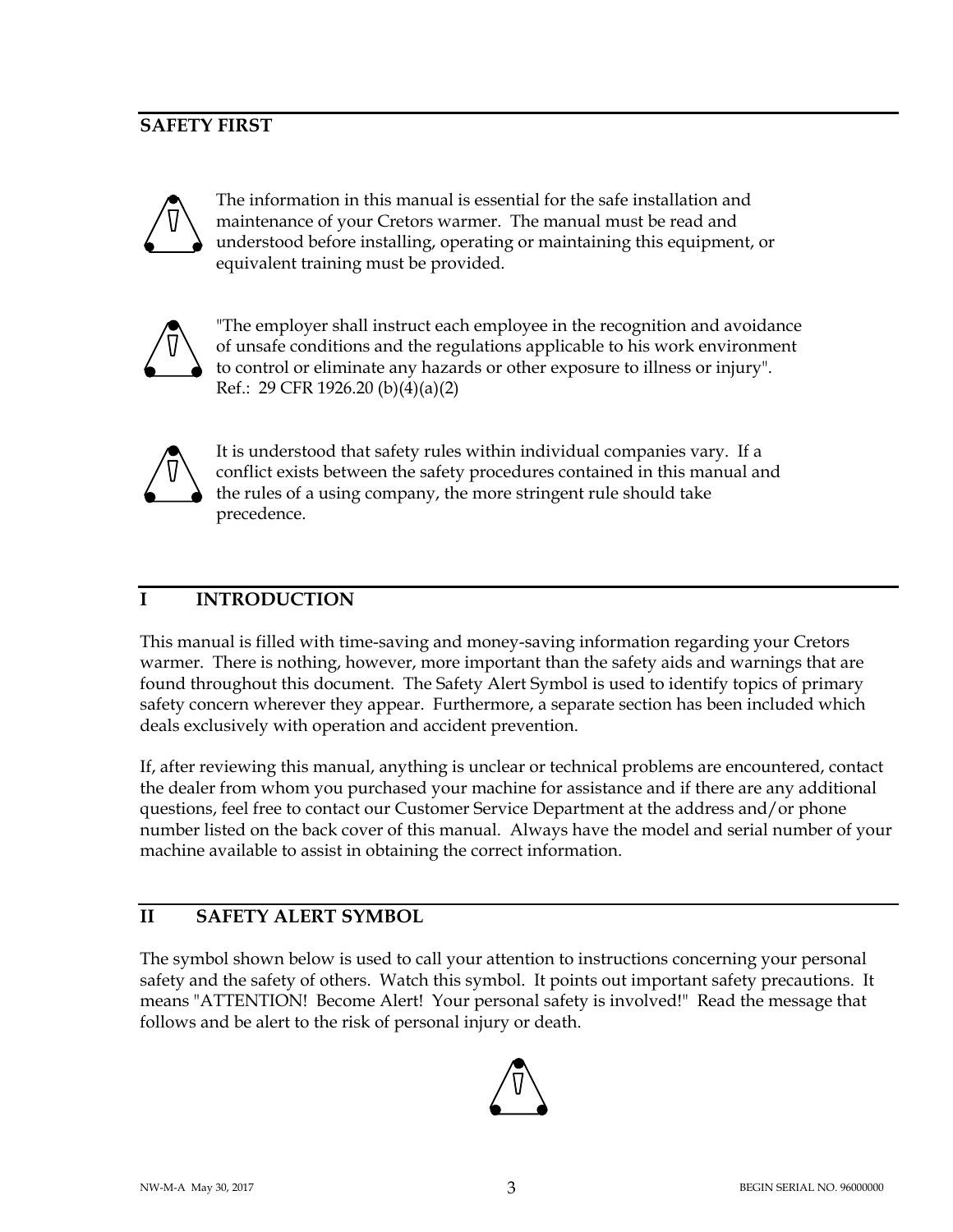# **SAFETY FIRST**



The information in this manual is essential for the safe installation and maintenance of your Cretors warmer. The manual must be read and understood before installing, operating or maintaining this equipment, or equivalent training must be provided.



"The employer shall instruct each employee in the recognition and avoidance of unsafe conditions and the regulations applicable to his work environment to control or eliminate any hazards or other exposure to illness or injury". Ref.: 29 CFR 1926.20 (b)(4)(a)(2)



It is understood that safety rules within individual companies vary. If a conflict exists between the safety procedures contained in this manual and the rules of a using company, the more stringent rule should take precedence.

# **I INTRODUCTION**

This manual is filled with time-saving and money-saving information regarding your Cretors warmer. There is nothing, however, more important than the safety aids and warnings that are found throughout this document. The Safety Alert Symbol is used to identify topics of primary safety concern wherever they appear. Furthermore, a separate section has been included which deals exclusively with operation and accident prevention.

If, after reviewing this manual, anything is unclear or technical problems are encountered, contact the dealer from whom you purchased your machine for assistance and if there are any additional questions, feel free to contact our Customer Service Department at the address and/or phone number listed on the back cover of this manual. Always have the model and serial number of your machine available to assist in obtaining the correct information.

# **II SAFETY ALERT SYMBOL**

The symbol shown below is used to call your attention to instructions concerning your personal safety and the safety of others. Watch this symbol. It points out important safety precautions. It means "ATTENTION! Become Alert! Your personal safety is involved!" Read the message that follows and be alert to the risk of personal injury or death.

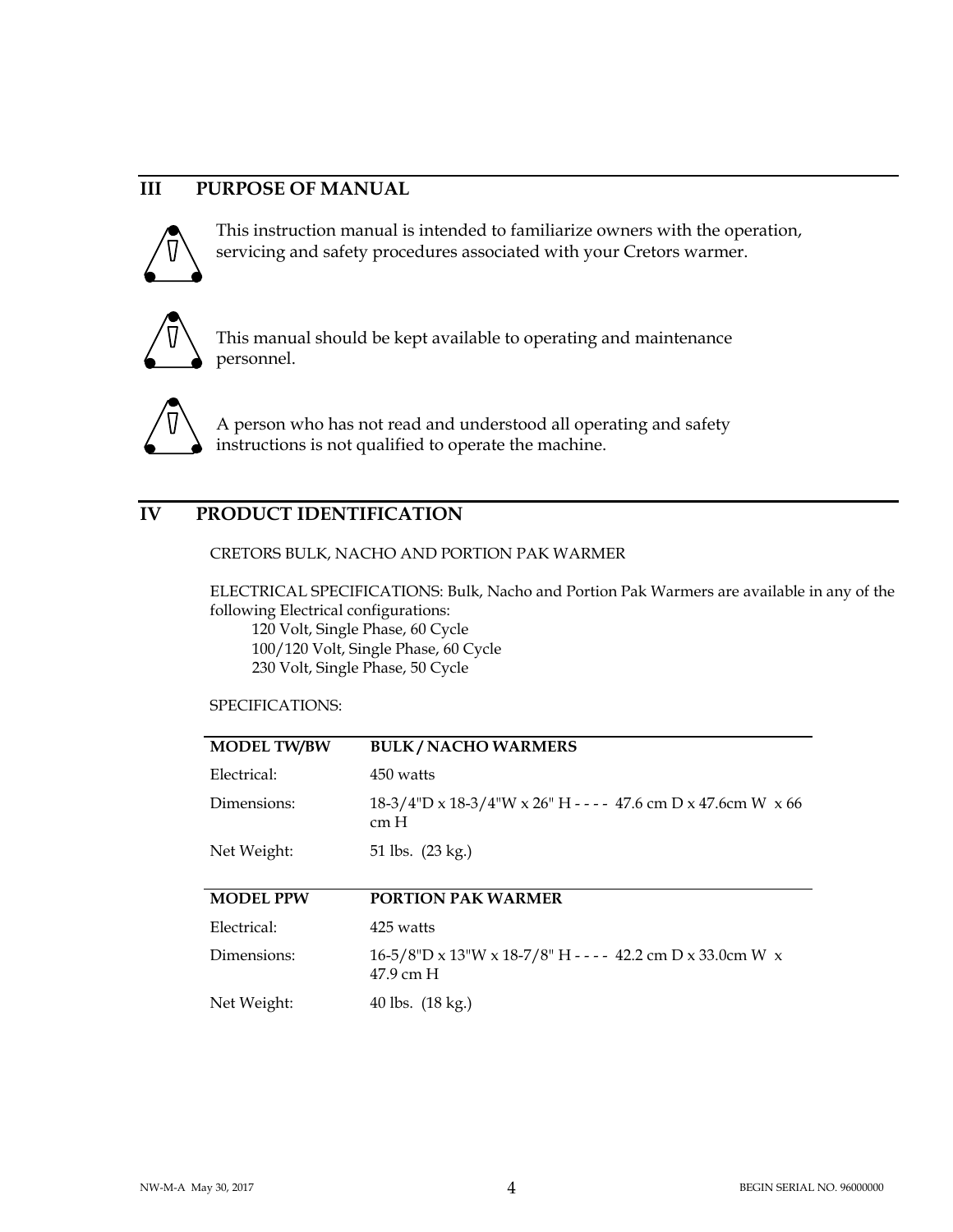# **III PURPOSE OF MANUAL**



This instruction manual is intended to familiarize owners with the operation, servicing and safety procedures associated with your Cretors warmer.



This manual should be kept available to operating and maintenance personnel.



A person who has not read and understood all operating and safety instructions is not qualified to operate the machine.

# **IV PRODUCT IDENTIFICATION**

#### CRETORS BULK, NACHO AND PORTION PAK WARMER

ELECTRICAL SPECIFICATIONS: Bulk, Nacho and Portion Pak Warmers are available in any of the following Electrical configurations: 120 Volt, Single Phase, 60 Cycle

 100/120 Volt, Single Phase, 60 Cycle 230 Volt, Single Phase, 50 Cycle

#### SPECIFICATIONS:

| <b>MODEL TW/BW</b> | <b>BULK/NACHO WARMERS</b>                                                                  |
|--------------------|--------------------------------------------------------------------------------------------|
| Electrical:        | 450 watts                                                                                  |
| Dimensions:        | $18-3/4$ "D x $18-3/4$ "W x $26$ " H - - - - 47.6 cm D x 47.6 cm W x 66<br>cm <sub>H</sub> |
| Net Weight:        | 51 lbs. (23 kg.)                                                                           |
|                    |                                                                                            |
| <b>MODEL PPW</b>   | <b>PORTION PAK WARMER</b>                                                                  |
| Electrical:        | 425 watts                                                                                  |
| Dimensions:        | $16-5/8$ "D x 13"W x 18-7/8" H - - - - 42.2 cm D x 33.0cm W x<br>47.9 cm H                 |
| Net Weight:        | 40 lbs. $(18 \text{ kg.})$                                                                 |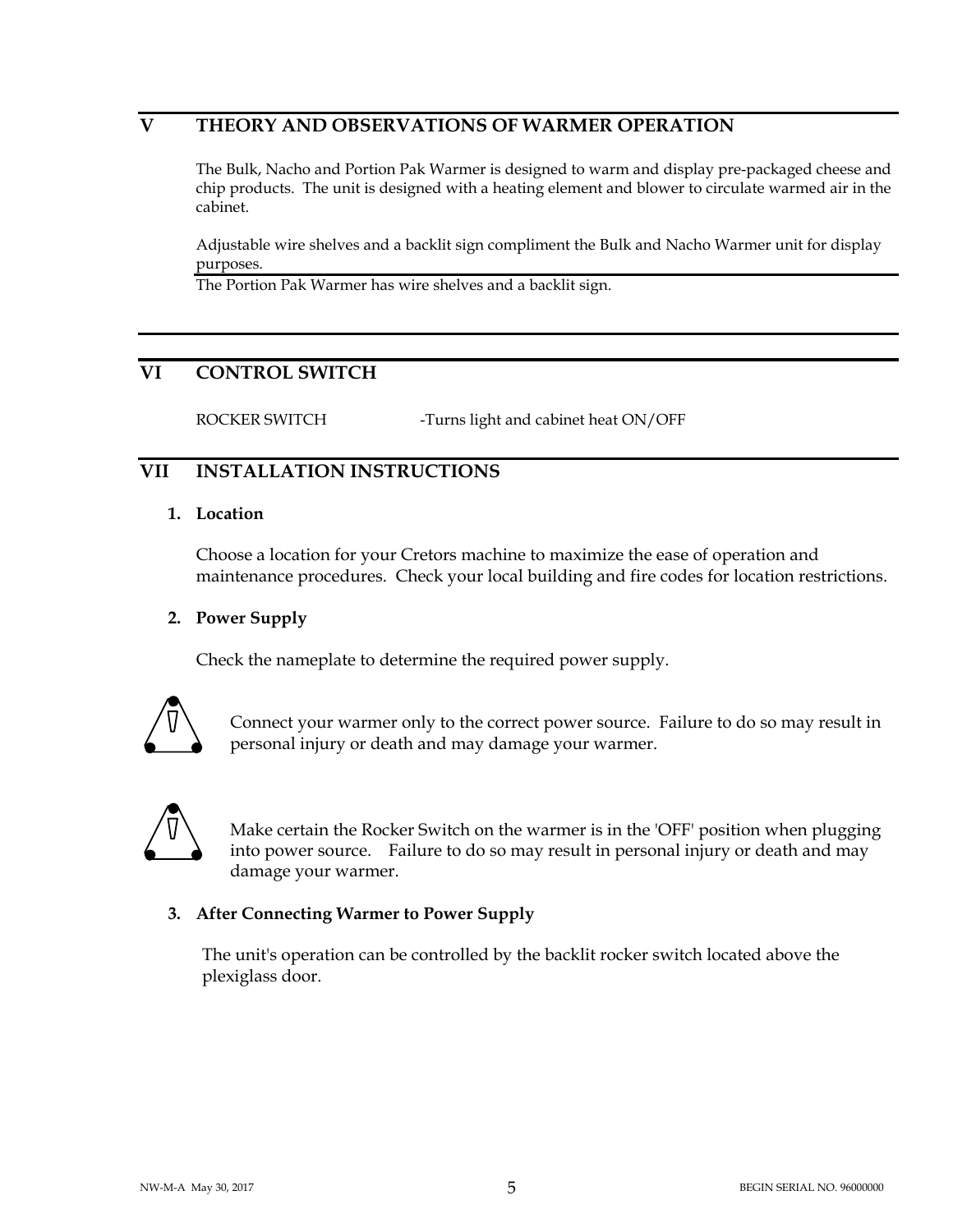# **V THEORY AND OBSERVATIONS OF WARMER OPERATION**

 The Bulk, Nacho and Portion Pak Warmer is designed to warm and display pre-packaged cheese and chip products. The unit is designed with a heating element and blower to circulate warmed air in the cabinet.

 Adjustable wire shelves and a backlit sign compliment the Bulk and Nacho Warmer unit for display purposes.

The Portion Pak Warmer has wire shelves and a backlit sign.

# **VI CONTROL SWITCH**

ROCKER SWITCH -Turns light and cabinet heat ON/OFF

# **VII INSTALLATION INSTRUCTIONS**

#### **1. Location**

Choose a location for your Cretors machine to maximize the ease of operation and maintenance procedures. Check your local building and fire codes for location restrictions.

#### **2. Power Supply**

Check the nameplate to determine the required power supply.



Connect your warmer only to the correct power source. Failure to do so may result in personal injury or death and may damage your warmer.



Make certain the Rocker Switch on the warmer is in the 'OFF' position when plugging into power source. Failure to do so may result in personal injury or death and may damage your warmer.

#### **3. After Connecting Warmer to Power Supply**

 The unit's operation can be controlled by the backlit rocker switch located above the plexiglass door.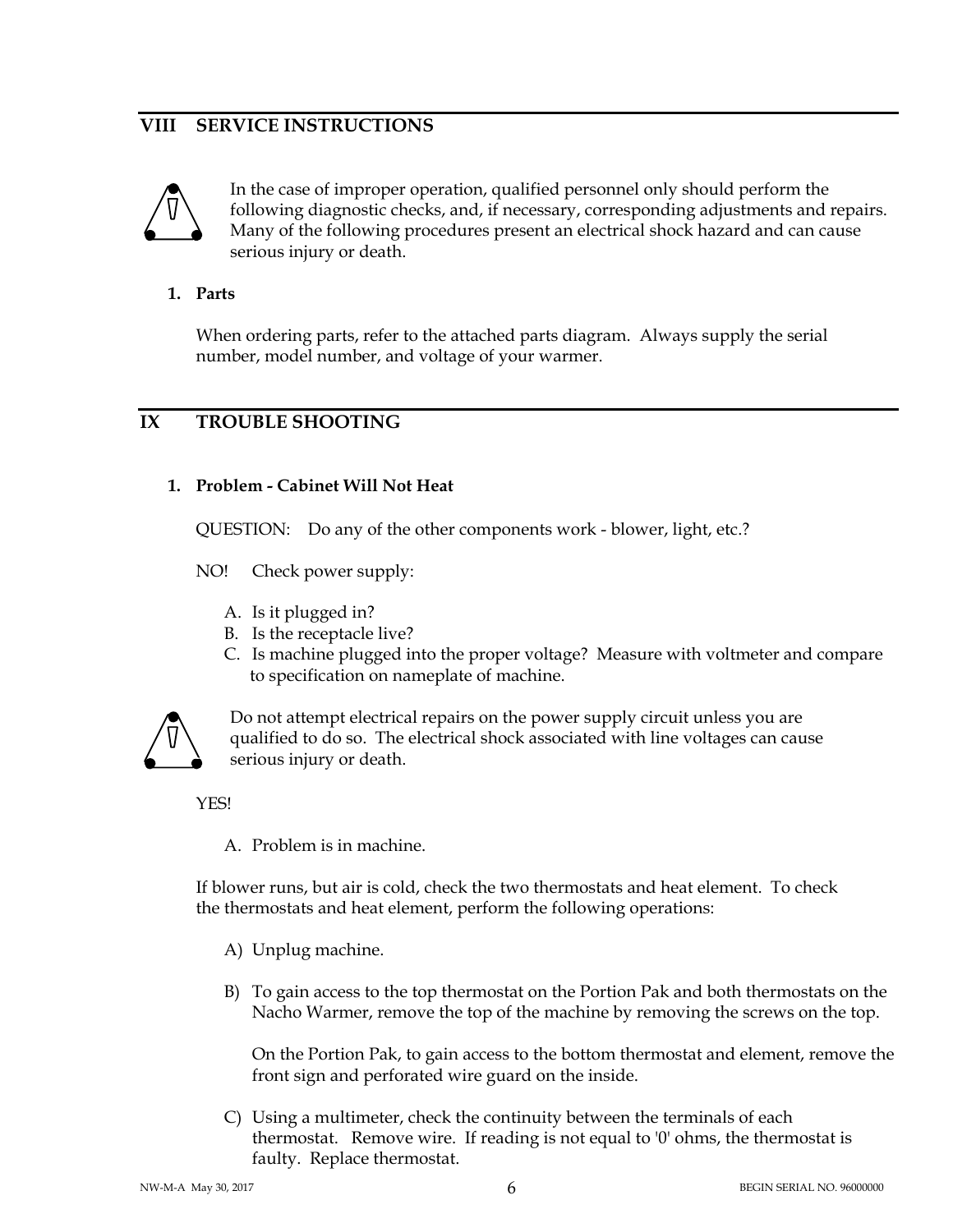# **VIII SERVICE INSTRUCTIONS**



In the case of improper operation, qualified personnel only should perform the following diagnostic checks, and, if necessary, corresponding adjustments and repairs. Many of the following procedures present an electrical shock hazard and can cause serious injury or death.

#### **1. Parts**

When ordering parts, refer to the attached parts diagram. Always supply the serial number, model number, and voltage of your warmer.

# **IX TROUBLE SHOOTING**

#### **1. Problem - Cabinet Will Not Heat**

QUESTION: Do any of the other components work - blower, light, etc.?

NO! Check power supply:

- A. Is it plugged in?
- B. Is the receptacle live?
- C. Is machine plugged into the proper voltage? Measure with voltmeter and compare to specification on nameplate of machine.



Do not attempt electrical repairs on the power supply circuit unless you are qualified to do so. The electrical shock associated with line voltages can cause serious injury or death.

YES!

A. Problem is in machine.

If blower runs, but air is cold, check the two thermostats and heat element. To check the thermostats and heat element, perform the following operations:

- A) Unplug machine.
- B) To gain access to the top thermostat on the Portion Pak and both thermostats on the Nacho Warmer, remove the top of the machine by removing the screws on the top.

On the Portion Pak, to gain access to the bottom thermostat and element, remove the front sign and perforated wire guard on the inside.

C) Using a multimeter, check the continuity between the terminals of each thermostat. Remove wire. If reading is not equal to '0' ohms, the thermostat is faulty. Replace thermostat.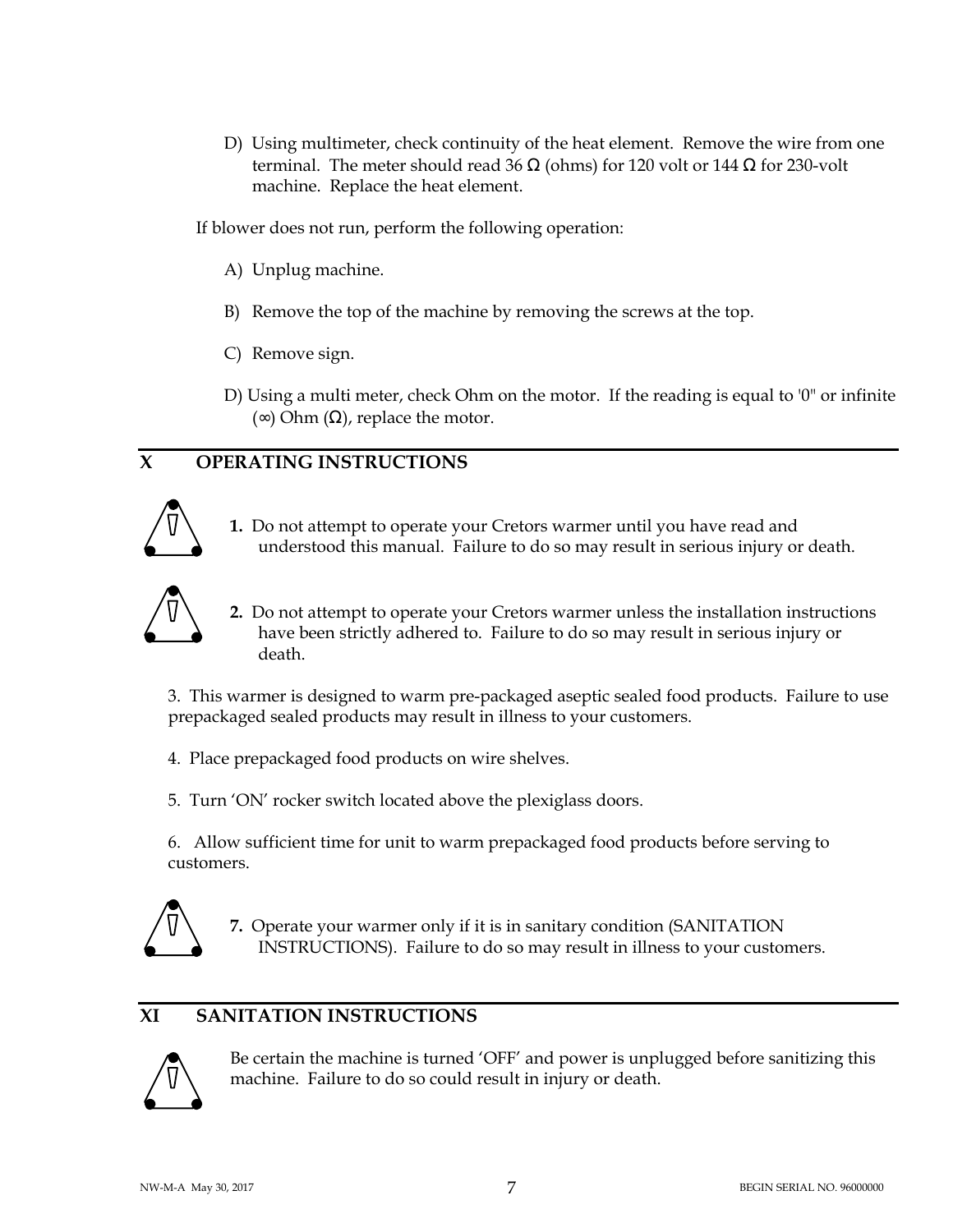D) Using multimeter, check continuity of the heat element. Remove the wire from one terminal. The meter should read 36  $\Omega$  (ohms) for 120 volt or 144  $\Omega$  for 230-volt machine. Replace the heat element.

If blower does not run, perform the following operation:

- A) Unplug machine.
- B) Remove the top of the machine by removing the screws at the top.
- C) Remove sign.
- D) Using a multi meter, check Ohm on the motor. If the reading is equal to '0" or infinite  $(∞) Ohm (Ω)$ , replace the motor.

# **X OPERATING INSTRUCTIONS**



**1.** Do not attempt to operate your Cretors warmer until you have read and understood this manual. Failure to do so may result in serious injury or death.



**2.** Do not attempt to operate your Cretors warmer unless the installation instructions have been strictly adhered to. Failure to do so may result in serious injury or death.

 3. This warmer is designed to warm pre-packaged aseptic sealed food products. Failure to use prepackaged sealed products may result in illness to your customers.

4. Place prepackaged food products on wire shelves.

5. Turn 'ON' rocker switch located above the plexiglass doors.

 6. Allow sufficient time for unit to warm prepackaged food products before serving to customers.



**7.** Operate your warmer only if it is in sanitary condition (SANITATION INSTRUCTIONS). Failure to do so may result in illness to your customers.

# **XI SANITATION INSTRUCTIONS**



Be certain the machine is turned 'OFF' and power is unplugged before sanitizing this machine. Failure to do so could result in injury or death.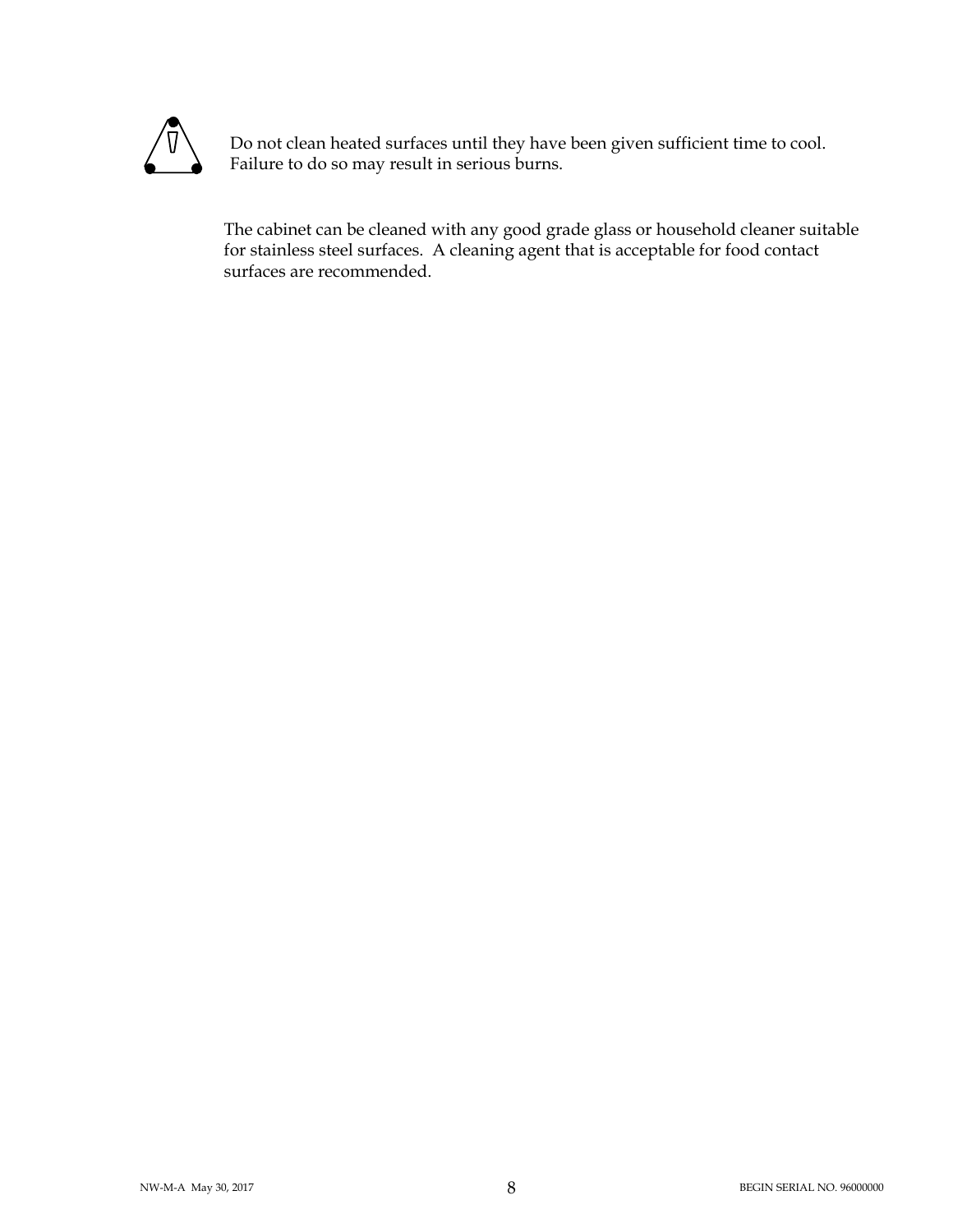

Do not clean heated surfaces until they have been given sufficient time to cool. Failure to do so may result in serious burns.

 The cabinet can be cleaned with any good grade glass or household cleaner suitable for stainless steel surfaces. A cleaning agent that is acceptable for food contact surfaces are recommended.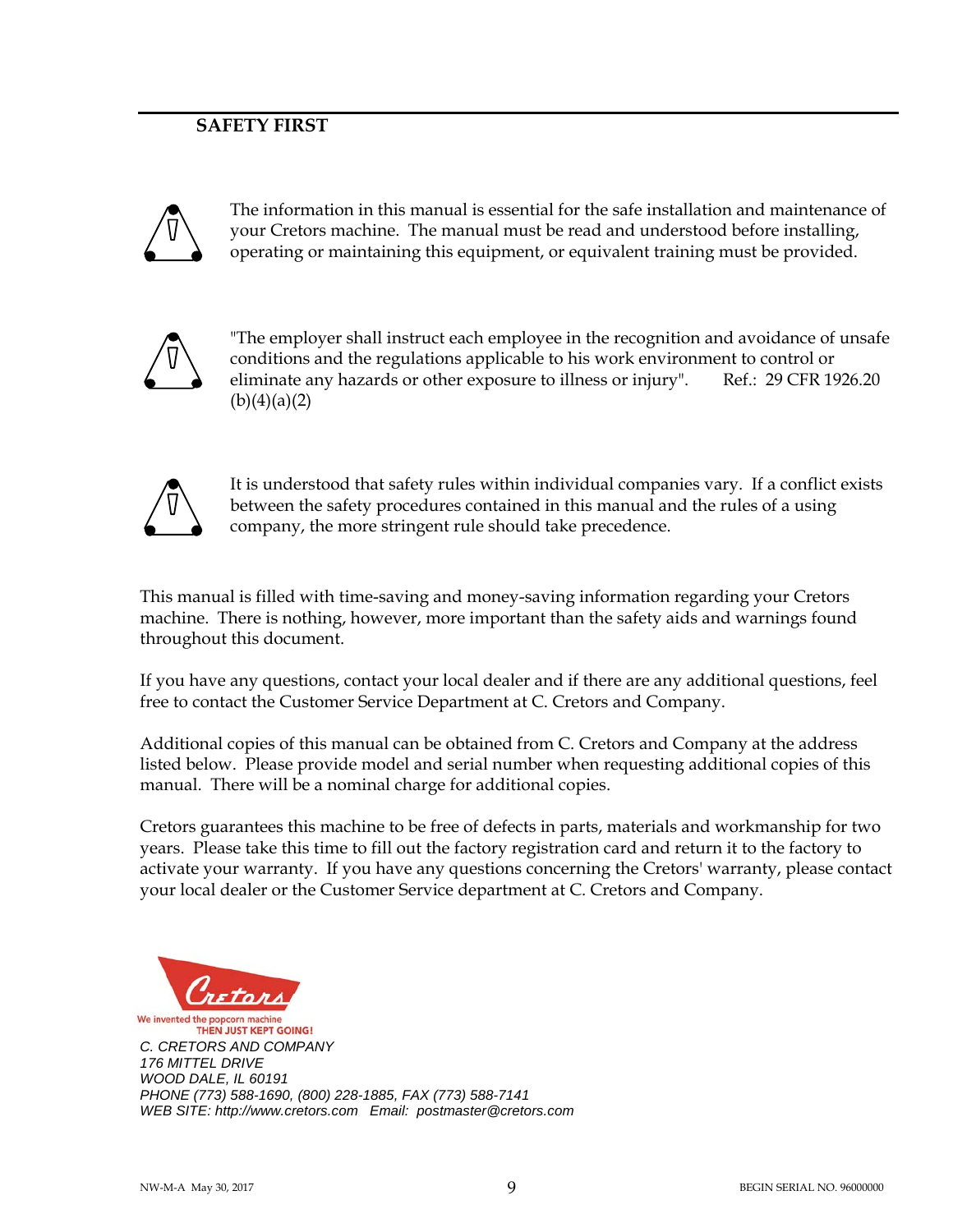# **SAFETY FIRST**



The information in this manual is essential for the safe installation and maintenance of your Cretors machine. The manual must be read and understood before installing, operating or maintaining this equipment, or equivalent training must be provided.



"The employer shall instruct each employee in the recognition and avoidance of unsafe conditions and the regulations applicable to his work environment to control or eliminate any hazards or other exposure to illness or injury". Ref.: 29 CFR 1926.20  $(b)(4)(a)(2)$ 



It is understood that safety rules within individual companies vary. If a conflict exists between the safety procedures contained in this manual and the rules of a using company, the more stringent rule should take precedence.

This manual is filled with time-saving and money-saving information regarding your Cretors machine. There is nothing, however, more important than the safety aids and warnings found throughout this document.

If you have any questions, contact your local dealer and if there are any additional questions, feel free to contact the Customer Service Department at C. Cretors and Company.

Additional copies of this manual can be obtained from C. Cretors and Company at the address listed below. Please provide model and serial number when requesting additional copies of this manual. There will be a nominal charge for additional copies.

Cretors guarantees this machine to be free of defects in parts, materials and workmanship for two years. Please take this time to fill out the factory registration card and return it to the factory to activate your warranty. If you have any questions concerning the Cretors' warranty, please contact your local dealer or the Customer Service department at C. Cretors and Company.



**THEN JUST KEPT GOING!** C. CRETORS AND COMPANY 176 MITTEL DRIVE WOOD DALE, IL 60191 PHONE (773) 588-1690, (800) 228-1885, FAX (773) 588-7141 WEB SITE: http://www.cretors.com Email: postmaster@cretors.com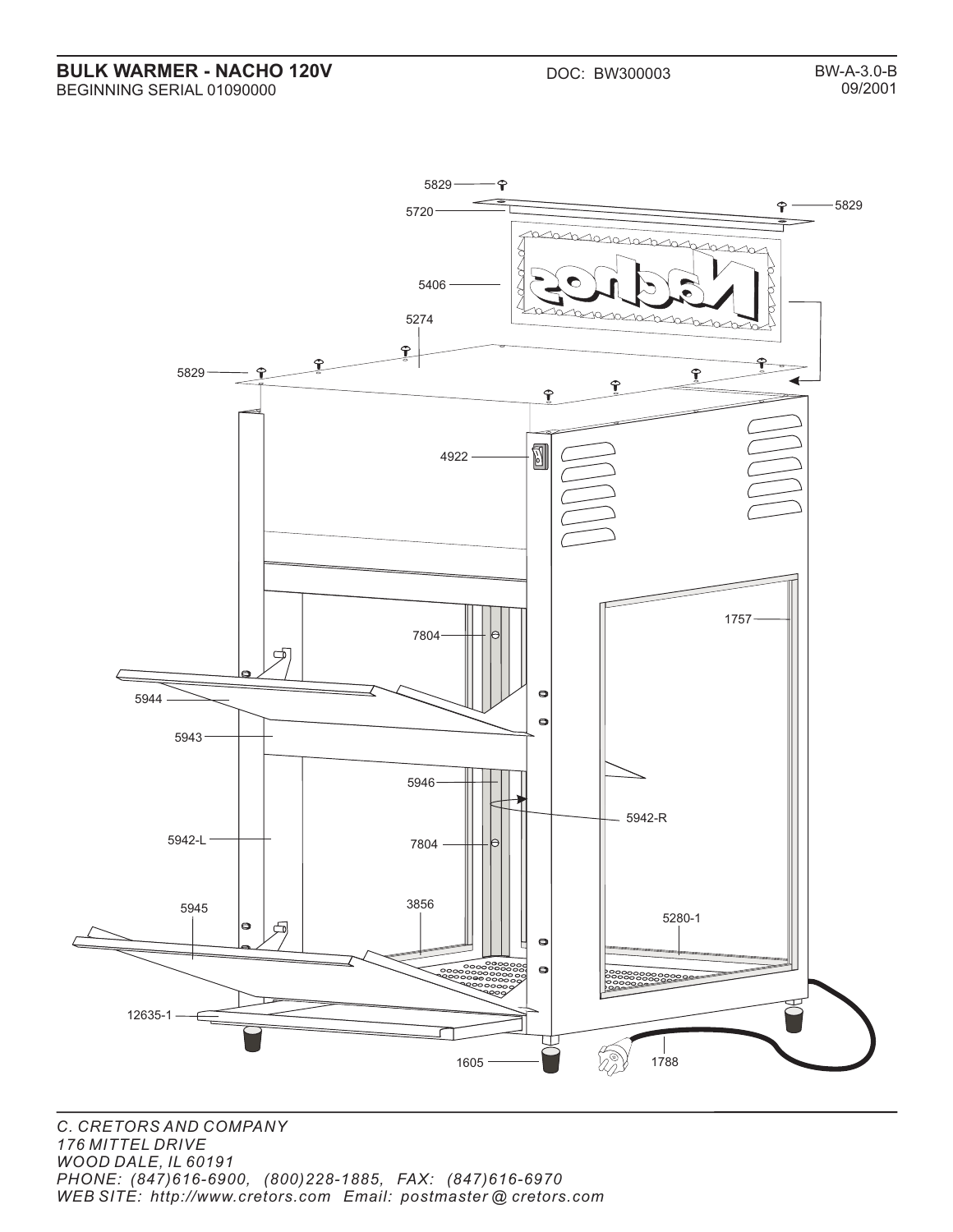**BULK WARMER - NACHO 120V** DOC: BW300003 BEGINNING SERIAL 01090000

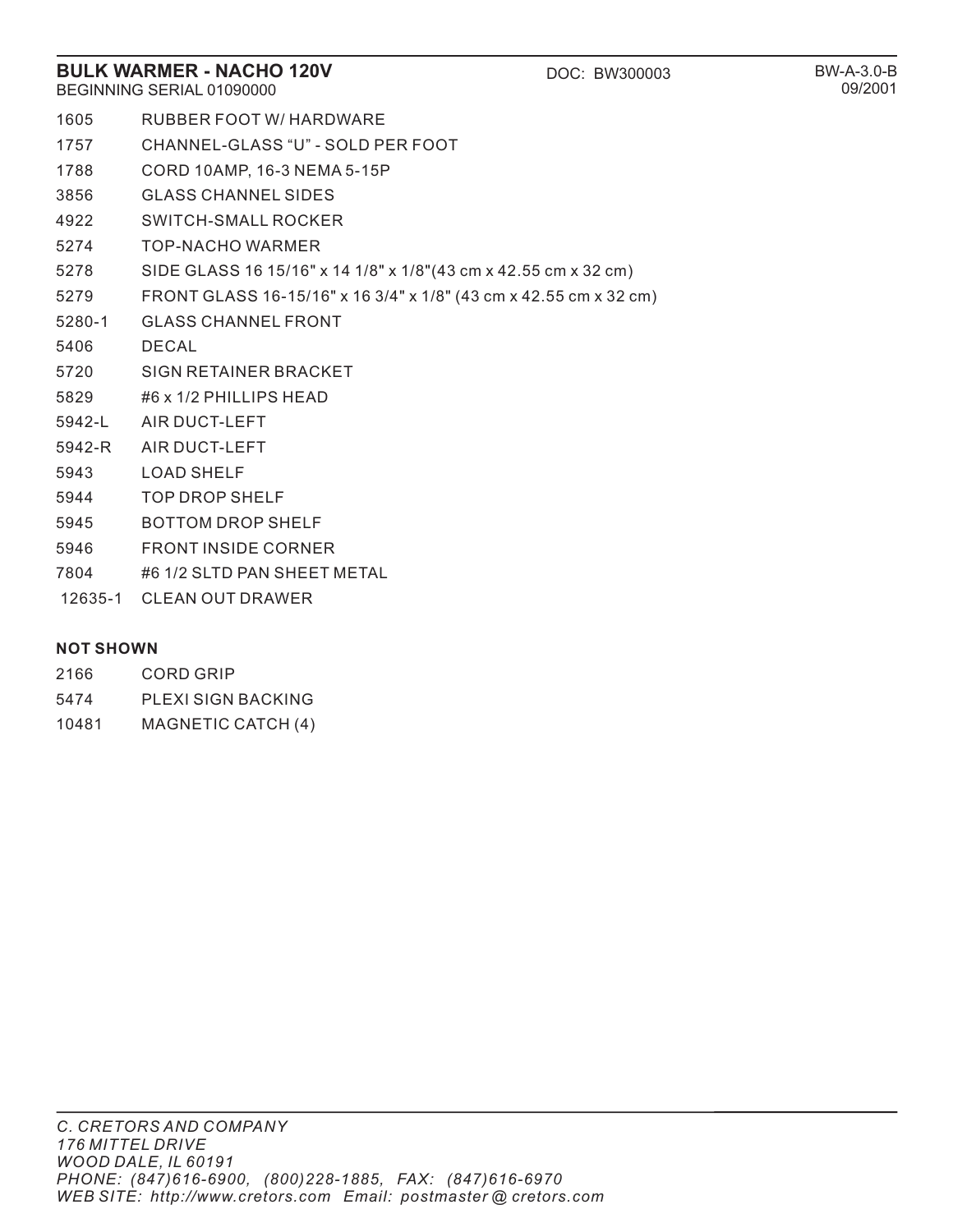#### **BULK WARMER - NACHO 120V DOC: BW300003** BEGINNING SERIAL 01090000

- 1605 RUBBER FOOT W/ HARDWARE
- 1757 CHANNEL-GLASS "U" SOLD PER FOOT
- 1788 CORD 10AMP, 16-3 NEMA 5-15P
- 3856 GLASS CHANNEL SIDES
- 4922 SWITCH-SMALL ROCKER
- 5274 TOP-NACHO WARMER
- 5278 SIDE GLASS 16 15/16" x 14 1/8" x 1/8"(43 cm x 42.55 cm x 32 cm)
- 5279 FRONT GLASS 16-15/16" x 16 3/4" x 1/8" (43 cm x 42.55 cm x 32 cm)
- 5280-1 GLASS CHANNEL FRONT
- 5406 DECAL
- 5720 SIGN RETAINER BRACKET
- 5829 #6 x 1/2 PHILLIPS HEAD
- 5942-L AIR DUCT-LEFT
- 5942-R AIR DUCT-LEFT
- 5943 LOAD SHELF
- 5944 TOP DROP SHELF
- 5945 BOTTOM DROP SHELF
- 5946 FRONT INSIDE CORNER
- 7804 #6 1/2 SLTD PAN SHEET METAL
- 12635-1 CLEAN OUT DRAWER

#### **NOT SHOWN**

- 2166 CORD GRIP
- 5474 PLEXI SIGN BACKING
- 10481 MAGNETIC CATCH (4)